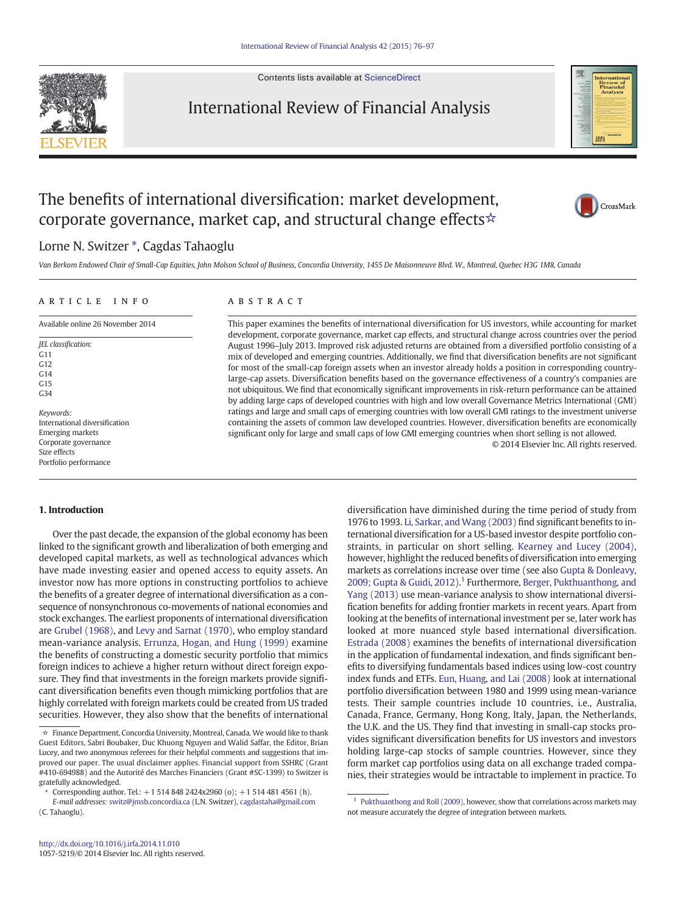Contents lists available at [ScienceDirect](http://www.sciencedirect.com/science/journal/10575219)



## International Review of Financial Analysis



# The benefits of international diversification: market development, corporate governance, market cap, and structural change effects  $\star$



### Lorne N. Switzer \*, Cagdas Tahaoglu

Van Berkom Endowed Chair of Small-Cap Equities, John Molson School of Business, Concordia University, 1455 De Maisonneuve Blvd. W., Montreal, Quebec H3G 1M8, Canada

## article info abstract Available online 26 November 2014

JEL classification: G11 G12 G14  $G15$ G34 Keywords: International diversification Emerging markets

Corporate governance Size effects Portfolio performance This paper examines the benefits of international diversification for US investors, while accounting for market development, corporate governance, market cap effects, and structural change across countries over the period August 1996–July 2013. Improved risk adjusted returns are obtained from a diversified portfolio consisting of a mix of developed and emerging countries. Additionally, we find that diversification benefits are not significant for most of the small-cap foreign assets when an investor already holds a position in corresponding countrylarge-cap assets. Diversification benefits based on the governance effectiveness of a country's companies are not ubiquitous. We find that economically significant improvements in risk-return performance can be attained by adding large caps of developed countries with high and low overall Governance Metrics International (GMI) ratings and large and small caps of emerging countries with low overall GMI ratings to the investment universe containing the assets of common law developed countries. However, diversification benefits are economically significant only for large and small caps of low GMI emerging countries when short selling is not allowed.

© 2014 Elsevier Inc. All rights reserved.

### 1. Introduction

Over the past decade, the expansion of the global economy has been linked to the significant growth and liberalization of both emerging and developed capital markets, as well as technological advances which have made investing easier and opened access to equity assets. An investor now has more options in constructing portfolios to achieve the benefits of a greater degree of international diversification as a consequence of nonsynchronous co-movements of national economies and stock exchanges. The earliest proponents of international diversification are [Grubel \(1968\)](#page--1-0), and [Levy and Sarnat \(1970\)](#page--1-0), who employ standard mean-variance analysis. [Errunza, Hogan, and Hung \(1999\)](#page--1-0) examine the benefits of constructing a domestic security portfolio that mimics foreign indices to achieve a higher return without direct foreign exposure. They find that investments in the foreign markets provide significant diversification benefits even though mimicking portfolios that are highly correlated with foreign markets could be created from US traded securities. However, they also show that the benefits of international diversification have diminished during the time period of study from 1976 to 1993. [Li, Sarkar, and Wang \(2003\)](#page--1-0) find significant benefits to international diversification for a US-based investor despite portfolio constraints, in particular on short selling. [Kearney and Lucey \(2004\),](#page--1-0) however, highlight the reduced benefits of diversification into emerging markets as correlations increase over time (see also [Gupta & Donleavy,](#page--1-0) [2009; Gupta & Guidi, 2012](#page--1-0)).<sup>1</sup> Furthermore, [Berger, Pukthuanthong, and](#page--1-0) [Yang \(2013\)](#page--1-0) use mean-variance analysis to show international diversification benefits for adding frontier markets in recent years. Apart from looking at the benefits of international investment per se, later work has looked at more nuanced style based international diversification. [Estrada \(2008\)](#page--1-0) examines the benefits of international diversification in the application of fundamental indexation, and finds significant benefits to diversifying fundamentals based indices using low-cost country index funds and ETFs. [Eun, Huang, and Lai \(2008\)](#page--1-0) look at international portfolio diversification between 1980 and 1999 using mean-variance tests. Their sample countries include 10 countries, i.e., Australia, Canada, France, Germany, Hong Kong, Italy, Japan, the Netherlands, the U.K. and the US. They find that investing in small-cap stocks provides significant diversification benefits for US investors and investors holding large-cap stocks of sample countries. However, since they form market cap portfolios using data on all exchange traded companies, their strategies would be intractable to implement in practice. To

<sup>☆</sup> Finance Department, Concordia University, Montreal, Canada. We would like to thank Guest Editors, Sabri Boubaker, Duc Khuong Nguyen and Walid Saffar, the Editor, Brian Lucey, and two anonymous referees for their helpful comments and suggestions that improved our paper. The usual disclaimer applies. Financial support from SSHRC (Grant #410-694988) and the Autorité des Marches Financiers (Grant #SC-1399) to Switzer is gratefully acknowledged.

<sup>⁎</sup> Corresponding author. Tel.: +1 514 848 2424x2960 (o); +1 514 481 4561 (h).

E-mail addresses: [switz@jmsb.concordia.ca](mailto:switz@jmsb.concordia.ca) (L.N. Switzer), [cagdastaha@gmail.com](mailto:cagdastaha@gmail.com) (C. Tahaoglu).

 $1$  [Pukthuanthong and Roll \(2009\)](#page--1-0), however, show that correlations across markets may not measure accurately the degree of integration between markets.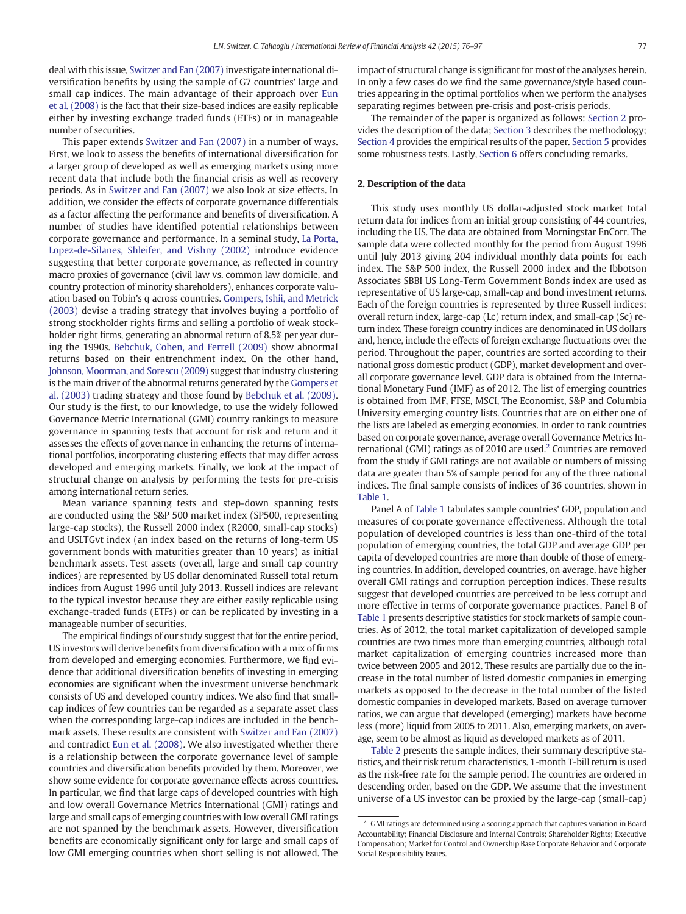deal with this issue, [Switzer and Fan \(2007\)](#page--1-0) investigate international diversification benefits by using the sample of G7 countries' large and small cap indices. The main advantage of their approach over [Eun](#page--1-0) [et al. \(2008\)](#page--1-0) is the fact that their size-based indices are easily replicable either by investing exchange traded funds (ETFs) or in manageable number of securities.

This paper extends [Switzer and Fan \(2007\)](#page--1-0) in a number of ways. First, we look to assess the benefits of international diversification for a larger group of developed as well as emerging markets using more recent data that include both the financial crisis as well as recovery periods. As in [Switzer and Fan \(2007\)](#page--1-0) we also look at size effects. In addition, we consider the effects of corporate governance differentials as a factor affecting the performance and benefits of diversification. A number of studies have identified potential relationships between corporate governance and performance. In a seminal study, [La Porta,](#page--1-0) [Lopez-de-Silanes, Shleifer, and Vishny \(2002\)](#page--1-0) introduce evidence suggesting that better corporate governance, as reflected in country macro proxies of governance (civil law vs. common law domicile, and country protection of minority shareholders), enhances corporate valuation based on Tobin's q across countries. [Gompers, Ishii, and Metrick](#page--1-0) [\(2003\)](#page--1-0) devise a trading strategy that involves buying a portfolio of strong stockholder rights firms and selling a portfolio of weak stockholder right firms, generating an abnormal return of 8.5% per year during the 1990s. [Bebchuk, Cohen, and Ferrell \(2009\)](#page--1-0) show abnormal returns based on their entrenchment index. On the other hand, [Johnson, Moorman, and Sorescu \(2009\)](#page--1-0) suggest that industry clustering is the main driver of the abnormal returns generated by the [Gompers et](#page--1-0) [al. \(2003\)](#page--1-0) trading strategy and those found by [Bebchuk et al. \(2009\).](#page--1-0) Our study is the first, to our knowledge, to use the widely followed Governance Metric International (GMI) country rankings to measure governance in spanning tests that account for risk and return and it assesses the effects of governance in enhancing the returns of international portfolios, incorporating clustering effects that may differ across developed and emerging markets. Finally, we look at the impact of structural change on analysis by performing the tests for pre-crisis among international return series.

Mean variance spanning tests and step-down spanning tests are conducted using the S&P 500 market index (SP500, representing large-cap stocks), the Russell 2000 index (R2000, small-cap stocks) and USLTGvt index (an index based on the returns of long-term US government bonds with maturities greater than 10 years) as initial benchmark assets. Test assets (overall, large and small cap country indices) are represented by US dollar denominated Russell total return indices from August 1996 until July 2013. Russell indices are relevant to the typical investor because they are either easily replicable using exchange-traded funds (ETFs) or can be replicated by investing in a manageable number of securities.

The empirical findings of our study suggest that for the entire period, US investors will derive benefits from diversification with a mix of firms from developed and emerging economies. Furthermore, we find evidence that additional diversification benefits of investing in emerging economies are significant when the investment universe benchmark consists of US and developed country indices. We also find that smallcap indices of few countries can be regarded as a separate asset class when the corresponding large-cap indices are included in the benchmark assets. These results are consistent with [Switzer and Fan \(2007\)](#page--1-0) and contradict [Eun et al. \(2008\)](#page--1-0). We also investigated whether there is a relationship between the corporate governance level of sample countries and diversification benefits provided by them. Moreover, we show some evidence for corporate governance effects across countries. In particular, we find that large caps of developed countries with high and low overall Governance Metrics International (GMI) ratings and large and small caps of emerging countries with low overall GMI ratings are not spanned by the benchmark assets. However, diversification benefits are economically significant only for large and small caps of low GMI emerging countries when short selling is not allowed. The

impact of structural change is significant for most of the analyses herein. In only a few cases do we find the same governance/style based countries appearing in the optimal portfolios when we perform the analyses separating regimes between pre-crisis and post-crisis periods.

The remainder of the paper is organized as follows: Section 2 provides the description of the data; [Section 3](#page--1-0) describes the methodology; [Section 4](#page--1-0) provides the empirical results of the paper. [Section 5](#page--1-0) provides some robustness tests. Lastly, [Section 6](#page--1-0) offers concluding remarks.

### 2. Description of the data

This study uses monthly US dollar-adjusted stock market total return data for indices from an initial group consisting of 44 countries, including the US. The data are obtained from Morningstar EnCorr. The sample data were collected monthly for the period from August 1996 until July 2013 giving 204 individual monthly data points for each index. The S&P 500 index, the Russell 2000 index and the Ibbotson Associates SBBI US Long-Term Government Bonds index are used as representative of US large-cap, small-cap and bond investment returns. Each of the foreign countries is represented by three Russell indices; overall return index, large-cap (Lc) return index, and small-cap (Sc) return index. These foreign country indices are denominated in US dollars and, hence, include the effects of foreign exchange fluctuations over the period. Throughout the paper, countries are sorted according to their national gross domestic product (GDP), market development and overall corporate governance level. GDP data is obtained from the International Monetary Fund (IMF) as of 2012. The list of emerging countries is obtained from IMF, FTSE, MSCI, The Economist, S&P and Columbia University emerging country lists. Countries that are on either one of the lists are labeled as emerging economies. In order to rank countries based on corporate governance, average overall Governance Metrics International (GMI) ratings as of 2010 are used.<sup>2</sup> Countries are removed from the study if GMI ratings are not available or numbers of missing data are greater than 5% of sample period for any of the three national indices. The final sample consists of indices of 36 countries, shown in [Table 1](#page--1-0).

Panel A of [Table 1](#page--1-0) tabulates sample countries' GDP, population and measures of corporate governance effectiveness. Although the total population of developed countries is less than one-third of the total population of emerging countries, the total GDP and average GDP per capita of developed countries are more than double of those of emerging countries. In addition, developed countries, on average, have higher overall GMI ratings and corruption perception indices. These results suggest that developed countries are perceived to be less corrupt and more effective in terms of corporate governance practices. Panel B of [Table 1](#page--1-0) presents descriptive statistics for stock markets of sample countries. As of 2012, the total market capitalization of developed sample countries are two times more than emerging countries, although total market capitalization of emerging countries increased more than twice between 2005 and 2012. These results are partially due to the increase in the total number of listed domestic companies in emerging markets as opposed to the decrease in the total number of the listed domestic companies in developed markets. Based on average turnover ratios, we can argue that developed (emerging) markets have become less (more) liquid from 2005 to 2011. Also, emerging markets, on average, seem to be almost as liquid as developed markets as of 2011.

[Table 2](#page--1-0) presents the sample indices, their summary descriptive statistics, and their risk return characteristics. 1-month T-bill return is used as the risk-free rate for the sample period. The countries are ordered in descending order, based on the GDP. We assume that the investment universe of a US investor can be proxied by the large-cap (small-cap)

 $^{\rm 2}$  GMI ratings are determined using a scoring approach that captures variation in Board Accountability; Financial Disclosure and Internal Controls; Shareholder Rights; Executive Compensation; Market for Control and Ownership Base Corporate Behavior and Corporate Social Responsibility Issues.